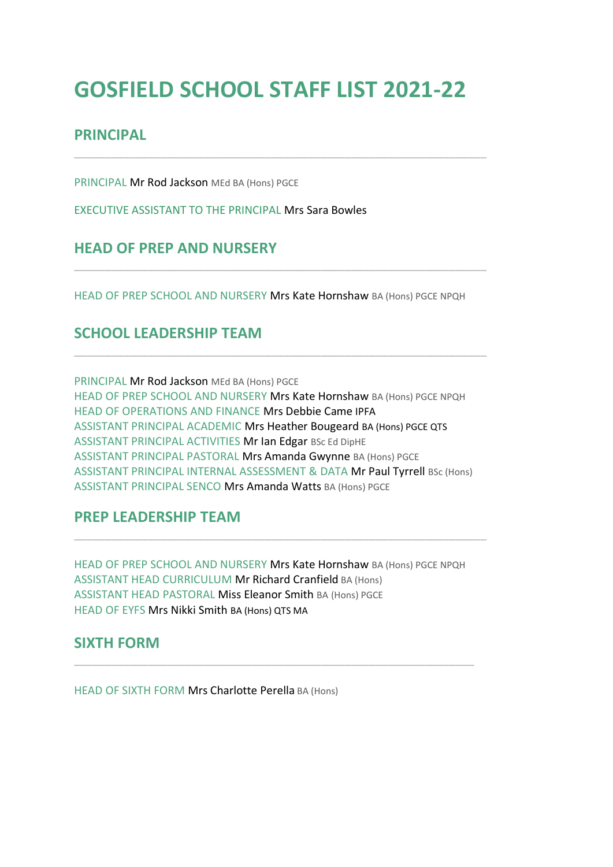# **GOSFIELD SCHOOL STAFF LIST 2021-22**

\_\_\_\_\_\_\_\_\_\_\_\_\_\_\_\_\_\_\_\_\_\_\_\_\_\_\_\_\_\_\_\_\_\_\_\_\_\_\_\_\_\_\_\_\_\_\_\_\_\_\_\_\_\_\_\_\_\_\_\_\_\_\_\_\_\_\_

# **PRINCIPAL**

PRINCIPAL Mr Rod Jackson MEd BA (Hons) PGCE

EXECUTIVE ASSISTANT TO THE PRINCIPAL Mrs Sara Bowles

# **HEAD OF PREP AND NURSERY**

HEAD OF PREP SCHOOL AND NURSERY Mrs Kate Hornshaw BA (Hons) PGCE NPQH

\_\_\_\_\_\_\_\_\_\_\_\_\_\_\_\_\_\_\_\_\_\_\_\_\_\_\_\_\_\_\_\_\_\_\_\_\_\_\_\_\_\_\_\_\_\_\_\_\_\_\_\_\_\_\_\_\_\_\_\_\_\_\_\_\_\_\_

\_\_\_\_\_\_\_\_\_\_\_\_\_\_\_\_\_\_\_\_\_\_\_\_\_\_\_\_\_\_\_\_\_\_\_\_\_\_\_\_\_\_\_\_\_\_\_\_\_\_\_\_\_\_\_\_\_\_\_\_\_\_\_\_\_\_\_

# **SCHOOL LEADERSHIP TEAM**

PRINCIPAL Mr Rod Jackson MEd BA (Hons) PGCE HEAD OF PREP SCHOOL AND NURSERY Mrs Kate Hornshaw BA (Hons) PGCE NPQH HEAD OF OPERATIONS AND FINANCE Mrs Debbie Came IPFA ASSISTANT PRINCIPAL ACADEMIC Mrs Heather Bougeard BA (Hons) PGCE QTS ASSISTANT PRINCIPAL ACTIVITIES Mr Ian Edgar BSc Ed DipHE ASSISTANT PRINCIPAL PASTORAL Mrs Amanda Gwynne BA (Hons) PGCE ASSISTANT PRINCIPAL INTERNAL ASSESSMENT & DATA Mr Paul Tyrrell BSc (Hons) ASSISTANT PRINCIPAL SENCO Mrs Amanda Watts BA (Hons) PGCE

# **PREP LEADERSHIP TEAM**

HEAD OF PREP SCHOOL AND NURSERY Mrs Kate Hornshaw BA (Hons) PGCE NPQH ASSISTANT HEAD CURRICULUM Mr Richard Cranfield BA (Hons) ASSISTANT HEAD PASTORAL Miss Eleanor Smith BA (Hons) PGCE HEAD OF EYFS Mrs Nikki Smith BA (Hons) QTS MA

\_\_\_\_\_\_\_\_\_\_\_\_\_\_\_\_\_\_\_\_\_\_\_\_\_\_\_\_\_\_\_\_\_\_\_\_\_\_\_\_\_\_\_\_\_\_\_\_\_\_\_\_\_\_\_\_\_\_\_\_\_\_\_\_\_

\_\_\_\_\_\_\_\_\_\_\_\_\_\_\_\_\_\_\_\_\_\_\_\_\_\_\_\_\_\_\_\_\_\_\_\_\_\_\_\_\_\_\_\_\_\_\_\_\_\_\_\_\_\_\_\_\_\_\_\_\_\_\_\_\_\_\_

#### **SIXTH FORM**

HEAD OF SIXTH FORM Mrs Charlotte Perella BA (Hons)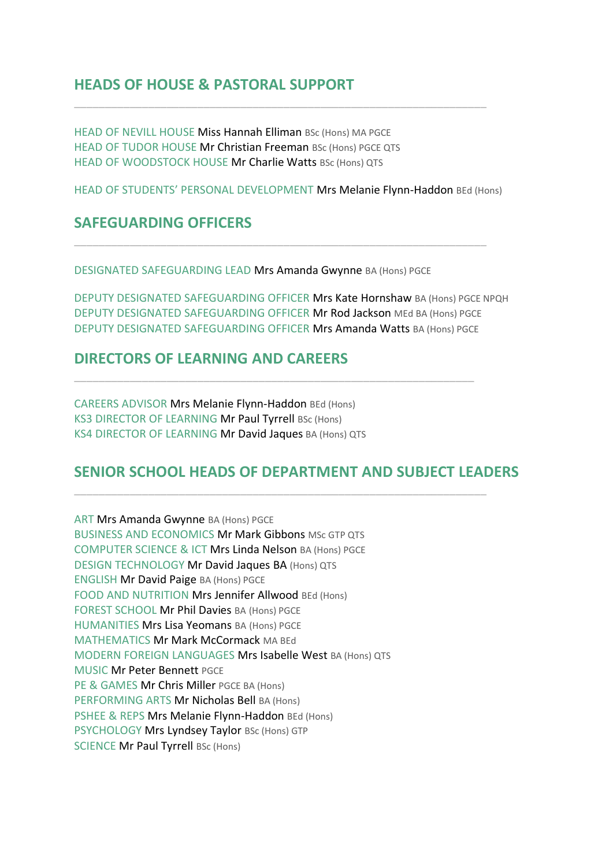# **HEADS OF HOUSE & PASTORAL SUPPORT**

HEAD OF NEVILL HOUSE Miss Hannah Elliman BSc (Hons) MA PGCE HEAD OF TUDOR HOUSE Mr Christian Freeman BSc (Hons) PGCE QTS HEAD OF WOODSTOCK HOUSE Mr Charlie Watts BSc (Hons) QTS

HEAD OF STUDENTS' PERSONAL DEVELOPMENT Mrs Melanie Flynn-Haddon BEd (Hons)

\_\_\_\_\_\_\_\_\_\_\_\_\_\_\_\_\_\_\_\_\_\_\_\_\_\_\_\_\_\_\_\_\_\_\_\_\_\_\_\_\_\_\_\_\_\_\_\_\_\_\_\_\_\_\_\_\_\_\_\_\_\_\_\_\_\_\_

\_\_\_\_\_\_\_\_\_\_\_\_\_\_\_\_\_\_\_\_\_\_\_\_\_\_\_\_\_\_\_\_\_\_\_\_\_\_\_\_\_\_\_\_\_\_\_\_\_\_\_\_\_\_\_\_\_\_\_\_\_\_\_\_\_\_\_

#### **SAFEGUARDING OFFICERS**

DESIGNATED SAFEGUARDING LEAD Mrs Amanda Gwynne BA (Hons) PGCE

DEPUTY DESIGNATED SAFEGUARDING OFFICER Mrs Kate Hornshaw BA (Hons) PGCE NPQH DEPUTY DESIGNATED SAFEGUARDING OFFICER Mr Rod Jackson MEd BA (Hons) PGCE DEPUTY DESIGNATED SAFEGUARDING OFFICER Mrs Amanda Watts BA (Hons) PGCE

\_\_\_\_\_\_\_\_\_\_\_\_\_\_\_\_\_\_\_\_\_\_\_\_\_\_\_\_\_\_\_\_\_\_\_\_\_\_\_\_\_\_\_\_\_\_\_\_\_\_\_\_\_\_\_\_\_\_\_\_\_\_\_\_\_

### **DIRECTORS OF LEARNING AND CAREERS**

CAREERS ADVISOR Mrs Melanie Flynn-Haddon BEd (Hons) KS3 DIRECTOR OF LEARNING Mr Paul Tyrrell BSc (Hons) KS4 DIRECTOR OF LEARNING Mr David Jaques BA (Hons) QTS

# **SENIOR SCHOOL HEADS OF DEPARTMENT AND SUBJECT LEADERS**

\_\_\_\_\_\_\_\_\_\_\_\_\_\_\_\_\_\_\_\_\_\_\_\_\_\_\_\_\_\_\_\_\_\_\_\_\_\_\_\_\_\_\_\_\_\_\_\_\_\_\_\_\_\_\_\_\_\_\_\_\_\_\_\_\_\_\_

ART Mrs Amanda Gwynne BA (Hons) PGCE BUSINESS AND ECONOMICS Mr Mark Gibbons MSc GTP QTS COMPUTER SCIENCE & ICT Mrs Linda Nelson BA (Hons) PGCE DESIGN TECHNOLOGY Mr David Jaques BA (Hons) QTS ENGLISH Mr David Paige BA (Hons) PGCE FOOD AND NUTRITION Mrs Jennifer Allwood BEd (Hons) FOREST SCHOOL Mr Phil Davies BA (Hons) PGCE HUMANITIES Mrs Lisa Yeomans BA (Hons) PGCE MATHEMATICS Mr Mark McCormack MA BEd MODERN FOREIGN LANGUAGES Mrs Isabelle West BA (Hons) QTS MUSIC Mr Peter Bennett PGCE PE & GAMES Mr Chris Miller PGCE BA (Hons) PERFORMING ARTS Mr Nicholas Bell BA (Hons) PSHEE & REPS Mrs Melanie Flynn-Haddon BEd (Hons) PSYCHOLOGY Mrs Lyndsey Taylor BSc (Hons) GTP SCIENCE Mr Paul Tyrrell BSc (Hons)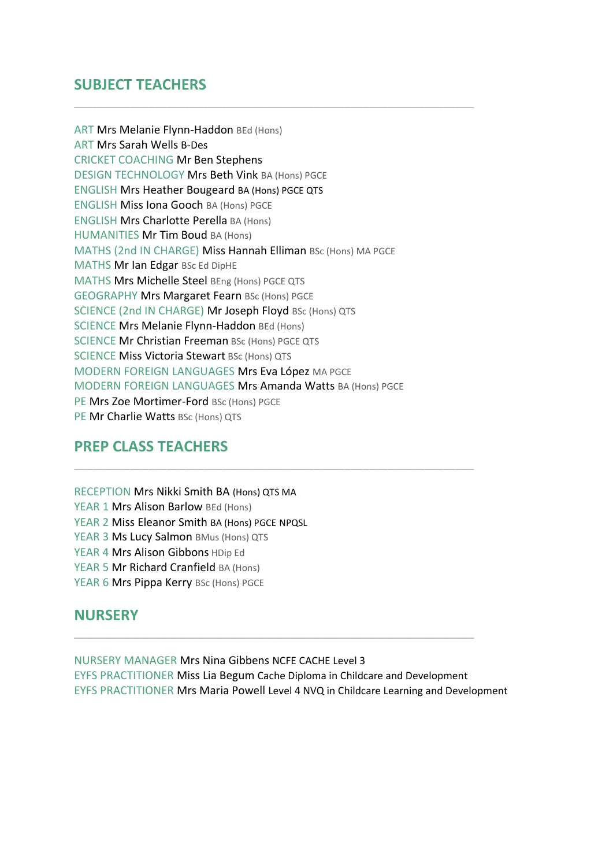# **SUBJECT TEACHERS**

ART Mrs Melanie Flynn-Haddon BEd (Hons) ART Mrs Sarah Wells B-Des CRICKET COACHING Mr Ben Stephens DESIGN TECHNOLOGY Mrs Beth Vink BA (Hons) PGCE ENGLISH Mrs Heather Bougeard BA (Hons) PGCE QTS ENGLISH Miss Iona Gooch BA (Hons) PGCE ENGLISH Mrs Charlotte Perella BA (Hons) HUMANITIES Mr Tim Boud BA (Hons) MATHS (2nd IN CHARGE) Miss Hannah Elliman BSc (Hons) MA PGCE MATHS Mr Ian Edgar BSc Ed DipHE MATHS Mrs Michelle Steel BEng (Hons) PGCE QTS GEOGRAPHY Mrs Margaret Fearn BSc (Hons) PGCE SCIENCE (2nd IN CHARGE) Mr Joseph Floyd BSc (Hons) QTS SCIENCE Mrs Melanie Flynn-Haddon BEd (Hons) SCIENCE Mr Christian Freeman BSc (Hons) PGCE QTS SCIENCE Miss Victoria Stewart BSc (Hons) QTS MODERN FOREIGN LANGUAGES Mrs Eva López MA PGCE MODERN FOREIGN LANGUAGES Mrs Amanda Watts BA (Hons) PGCE PE Mrs Zoe Mortimer-Ford BSc (Hons) PGCE PE Mr Charlie Watts BSc (Hons) QTS

\_\_\_\_\_\_\_\_\_\_\_\_\_\_\_\_\_\_\_\_\_\_\_\_\_\_\_\_\_\_\_\_\_\_\_\_\_\_\_\_\_\_\_\_\_\_\_\_\_\_\_\_\_\_\_\_\_\_\_\_\_\_\_\_\_

# **PREP CLASS TEACHERS**

RECEPTION Mrs Nikki Smith BA (Hons) QTS MA YEAR 1 Mrs Alison Barlow BEd (Hons) YEAR 2 Miss Eleanor Smith BA (Hons) PGCE NPQSL YEAR 3 Ms Lucy Salmon BMus (Hons) QTS YEAR 4 Mrs Alison Gibbons HDip Ed YEAR 5 Mr Richard Cranfield BA (Hons) YEAR 6 Mrs Pippa Kerry BSc (Hons) PGCE

# **NURSERY**

NURSERY MANAGER Mrs Nina Gibbens NCFE CACHE Level 3 EYFS PRACTITIONER Miss Lia Begum Cache Diploma in Childcare and Development EYFS PRACTITIONER Mrs Maria Powell Level 4 NVQ in Childcare Learning and Development

\_\_\_\_\_\_\_\_\_\_\_\_\_\_\_\_\_\_\_\_\_\_\_\_\_\_\_\_\_\_\_\_\_\_\_\_\_\_\_\_\_\_\_\_\_\_\_\_\_\_\_\_\_\_\_\_\_\_\_\_\_\_\_\_\_

\_\_\_\_\_\_\_\_\_\_\_\_\_\_\_\_\_\_\_\_\_\_\_\_\_\_\_\_\_\_\_\_\_\_\_\_\_\_\_\_\_\_\_\_\_\_\_\_\_\_\_\_\_\_\_\_\_\_\_\_\_\_\_\_\_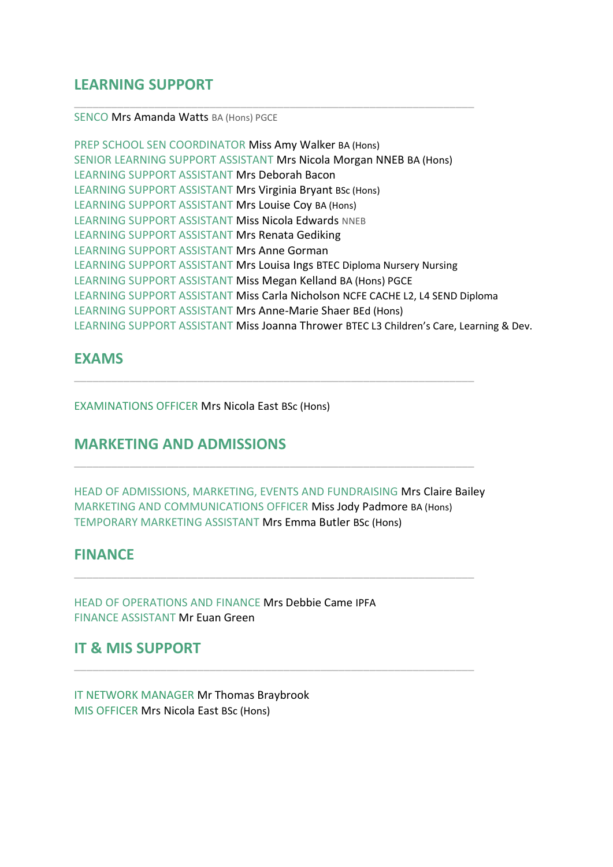## **LEARNING SUPPORT**

#### SENCO Mrs Amanda Watts BA (Hons) PGCE

PREP SCHOOL SEN COORDINATOR Miss Amy Walker BA (Hons) SENIOR LEARNING SUPPORT ASSISTANT Mrs Nicola Morgan NNEB BA (Hons) LEARNING SUPPORT ASSISTANT Mrs Deborah Bacon LEARNING SUPPORT ASSISTANT Mrs Virginia Bryant BSc (Hons) LEARNING SUPPORT ASSISTANT Mrs Louise Coy BA (Hons) LEARNING SUPPORT ASSISTANT Miss Nicola Edwards NNEB LEARNING SUPPORT ASSISTANT Mrs Renata Gediking LEARNING SUPPORT ASSISTANT Mrs Anne Gorman LEARNING SUPPORT ASSISTANT Mrs Louisa Ings BTEC Diploma Nursery Nursing LEARNING SUPPORT ASSISTANT Miss Megan Kelland BA (Hons) PGCE LEARNING SUPPORT ASSISTANT Miss Carla Nicholson NCFE CACHE L2, L4 SEND Diploma LEARNING SUPPORT ASSISTANT Mrs Anne-Marie Shaer BEd (Hons) LEARNING SUPPORT ASSISTANT Miss Joanna Thrower BTEC L3 Children's Care, Learning & Dev.

\_\_\_\_\_\_\_\_\_\_\_\_\_\_\_\_\_\_\_\_\_\_\_\_\_\_\_\_\_\_\_\_\_\_\_\_\_\_\_\_\_\_\_\_\_\_\_\_\_\_\_\_\_\_\_\_\_\_\_\_\_\_\_\_\_

#### **EXAMS**

EXAMINATIONS OFFICER Mrs Nicola East BSc (Hons)

#### **MARKETING AND ADMISSIONS**

HEAD OF ADMISSIONS, MARKETING, EVENTS AND FUNDRAISING Mrs Claire Bailey MARKETING AND COMMUNICATIONS OFFICER Miss Jody Padmore BA (Hons) TEMPORARY MARKETING ASSISTANT Mrs Emma Butler BSc (Hons)

\_\_\_\_\_\_\_\_\_\_\_\_\_\_\_\_\_\_\_\_\_\_\_\_\_\_\_\_\_\_\_\_\_\_\_\_\_\_\_\_\_\_\_\_\_\_\_\_\_\_\_\_\_\_\_\_\_\_\_\_\_\_\_\_\_

\_\_\_\_\_\_\_\_\_\_\_\_\_\_\_\_\_\_\_\_\_\_\_\_\_\_\_\_\_\_\_\_\_\_\_\_\_\_\_\_\_\_\_\_\_\_\_\_\_\_\_\_\_\_\_\_\_\_\_\_\_\_\_\_\_

\_\_\_\_\_\_\_\_\_\_\_\_\_\_\_\_\_\_\_\_\_\_\_\_\_\_\_\_\_\_\_\_\_\_\_\_\_\_\_\_\_\_\_\_\_\_\_\_\_\_\_\_\_\_\_\_\_\_\_\_\_\_\_\_\_

\_\_\_\_\_\_\_\_\_\_\_\_\_\_\_\_\_\_\_\_\_\_\_\_\_\_\_\_\_\_\_\_\_\_\_\_\_\_\_\_\_\_\_\_\_\_\_\_\_\_\_\_\_\_\_\_\_\_\_\_\_\_\_\_\_

#### **FINANCE**

HEAD OF OPERATIONS AND FINANCE Mrs Debbie Came IPFA FINANCE ASSISTANT Mr Euan Green

#### **IT & MIS SUPPORT**

IT NETWORK MANAGER Mr Thomas Braybrook MIS OFFICER Mrs Nicola East BSc (Hons)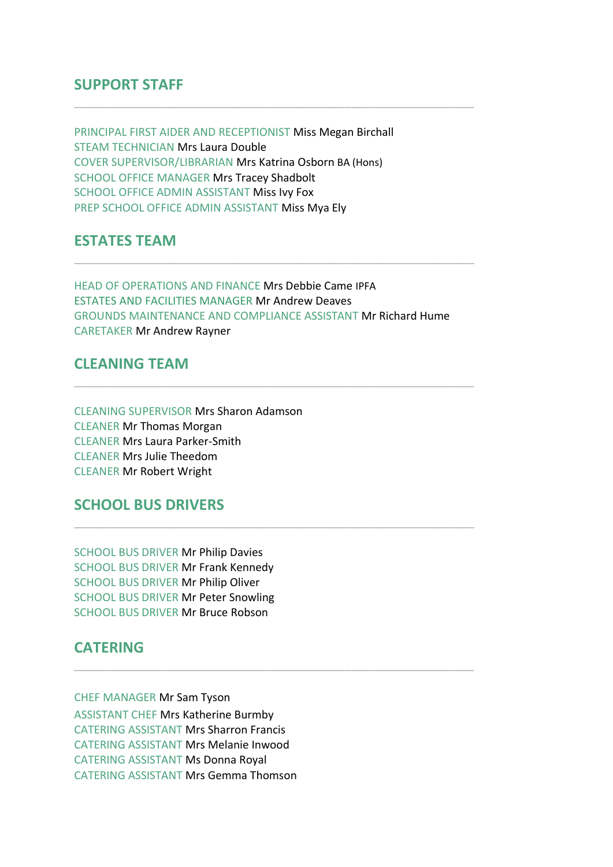#### **SUPPORT STAFF**

PRINCIPAL FIRST AIDER AND RECEPTIONIST Miss Megan Birchall STEAM TECHNICIAN Mrs Laura Double COVER SUPERVISOR/LIBRARIAN Mrs Katrina Osborn BA (Hons) SCHOOL OFFICE MANAGER Mrs Tracey Shadbolt SCHOOL OFFICE ADMIN ASSISTANT Miss Ivy Fox PREP SCHOOL OFFICE ADMIN ASSISTANT Miss Mya Ely

#### **ESTATES TEAM**

HEAD OF OPERATIONS AND FINANCE Mrs Debbie Came IPFA ESTATES AND FACILITIES MANAGER Mr Andrew Deaves GROUNDS MAINTENANCE AND COMPLIANCE ASSISTANT Mr Richard Hume CARETAKER Mr Andrew Rayner

\_\_\_\_\_\_\_\_\_\_\_\_\_\_\_\_\_\_\_\_\_\_\_\_\_\_\_\_\_\_\_\_\_\_\_\_\_\_\_\_\_\_\_\_\_\_\_\_\_\_\_\_\_\_\_\_\_\_\_\_\_\_\_\_\_

\_\_\_\_\_\_\_\_\_\_\_\_\_\_\_\_\_\_\_\_\_\_\_\_\_\_\_\_\_\_\_\_\_\_\_\_\_\_\_\_\_\_\_\_\_\_\_\_\_\_\_\_\_\_\_\_\_\_\_\_\_\_\_\_\_

\_\_\_\_\_\_\_\_\_\_\_\_\_\_\_\_\_\_\_\_\_\_\_\_\_\_\_\_\_\_\_\_\_\_\_\_\_\_\_\_\_\_\_\_\_\_\_\_\_\_\_\_\_\_\_\_\_\_\_\_\_\_\_\_\_

\_\_\_\_\_\_\_\_\_\_\_\_\_\_\_\_\_\_\_\_\_\_\_\_\_\_\_\_\_\_\_\_\_\_\_\_\_\_\_\_\_\_\_\_\_\_\_\_\_\_\_\_\_\_\_\_\_\_\_\_\_\_\_\_\_

\_\_\_\_\_\_\_\_\_\_\_\_\_\_\_\_\_\_\_\_\_\_\_\_\_\_\_\_\_\_\_\_\_\_\_\_\_\_\_\_\_\_\_\_\_\_\_\_\_\_\_\_\_\_\_\_\_\_\_\_\_\_\_\_\_

#### **CLEANING TEAM**

CLEANING SUPERVISOR Mrs Sharon Adamson CLEANER Mr Thomas Morgan CLEANER Mrs Laura Parker-Smith CLEANER Mrs Julie Theedom CLEANER Mr Robert Wright

#### **SCHOOL BUS DRIVERS**

SCHOOL BUS DRIVER Mr Philip Davies SCHOOL BUS DRIVER Mr Frank Kennedy SCHOOL BUS DRIVER Mr Philip Oliver SCHOOL BUS DRIVER Mr Peter Snowling SCHOOL BUS DRIVER Mr Bruce Robson

#### **CATERING**

CHEF MANAGER Mr Sam Tyson ASSISTANT CHEF Mrs Katherine Burmby CATERING ASSISTANT Mrs Sharron Francis CATERING ASSISTANT Mrs Melanie Inwood CATERING ASSISTANT Ms Donna Royal CATERING ASSISTANT Mrs Gemma Thomson